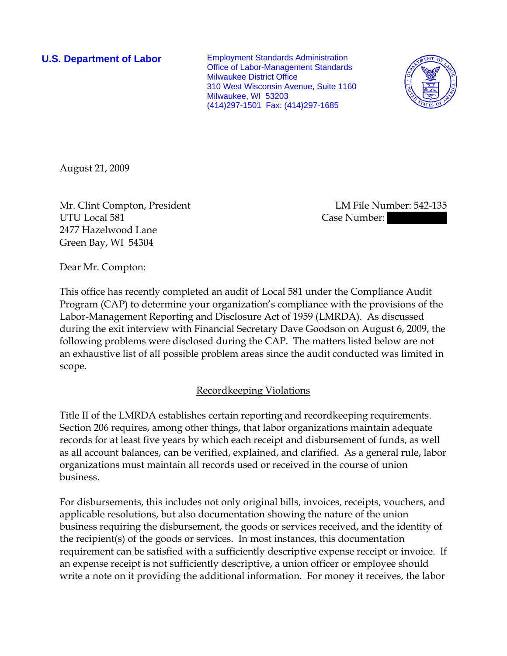**U.S. Department of Labor** Employment Standards Administration Office of Labor-Management Standards Milwaukee District Office 310 West Wisconsin Avenue, Suite 1160 Milwaukee, WI 53203 (414)297-1501 Fax: (414)297-1685



August 21, 2009

Mr. Clint Compton, President LM File Number: 542-135 UTU Local 581 Case Number: 2477 Hazelwood Lane Green Bay, WI 54304

Dear Mr. Compton:

This office has recently completed an audit of Local 581 under the Compliance Audit Program (CAP) to determine your organization's compliance with the provisions of the Labor-Management Reporting and Disclosure Act of 1959 (LMRDA). As discussed during the exit interview with Financial Secretary Dave Goodson on August 6, 2009, the following problems were disclosed during the CAP. The matters listed below are not an exhaustive list of all possible problem areas since the audit conducted was limited in scope.

# Recordkeeping Violations

Title II of the LMRDA establishes certain reporting and recordkeeping requirements. Section 206 requires, among other things, that labor organizations maintain adequate records for at least five years by which each receipt and disbursement of funds, as well as all account balances, can be verified, explained, and clarified. As a general rule, labor organizations must maintain all records used or received in the course of union business.

For disbursements, this includes not only original bills, invoices, receipts, vouchers, and applicable resolutions, but also documentation showing the nature of the union business requiring the disbursement, the goods or services received, and the identity of the recipient(s) of the goods or services. In most instances, this documentation requirement can be satisfied with a sufficiently descriptive expense receipt or invoice. If an expense receipt is not sufficiently descriptive, a union officer or employee should write a note on it providing the additional information. For money it receives, the labor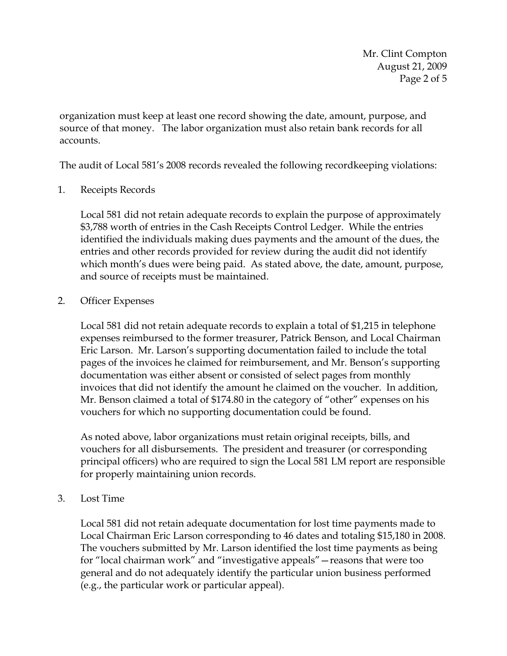Mr. Clint Compton August 21, 2009 Page 2 of 5

organization must keep at least one record showing the date, amount, purpose, and source of that money. The labor organization must also retain bank records for all accounts.

The audit of Local 581's 2008 records revealed the following recordkeeping violations:

### 1. Receipts Records

Local 581 did not retain adequate records to explain the purpose of approximately \$3,788 worth of entries in the Cash Receipts Control Ledger. While the entries identified the individuals making dues payments and the amount of the dues, the entries and other records provided for review during the audit did not identify which month's dues were being paid. As stated above, the date, amount, purpose, and source of receipts must be maintained.

#### 2. Officer Expenses

Local 581 did not retain adequate records to explain a total of \$1,215 in telephone expenses reimbursed to the former treasurer, Patrick Benson, and Local Chairman Eric Larson. Mr. Larson's supporting documentation failed to include the total pages of the invoices he claimed for reimbursement, and Mr. Benson's supporting documentation was either absent or consisted of select pages from monthly invoices that did not identify the amount he claimed on the voucher. In addition, Mr. Benson claimed a total of \$174.80 in the category of "other" expenses on his vouchers for which no supporting documentation could be found.

As noted above, labor organizations must retain original receipts, bills, and vouchers for all disbursements. The president and treasurer (or corresponding principal officers) who are required to sign the Local 581 LM report are responsible for properly maintaining union records.

3. Lost Time

Local 581 did not retain adequate documentation for lost time payments made to Local Chairman Eric Larson corresponding to 46 dates and totaling \$15,180 in 2008. The vouchers submitted by Mr. Larson identified the lost time payments as being for "local chairman work" and "investigative appeals"—reasons that were too general and do not adequately identify the particular union business performed (e.g., the particular work or particular appeal).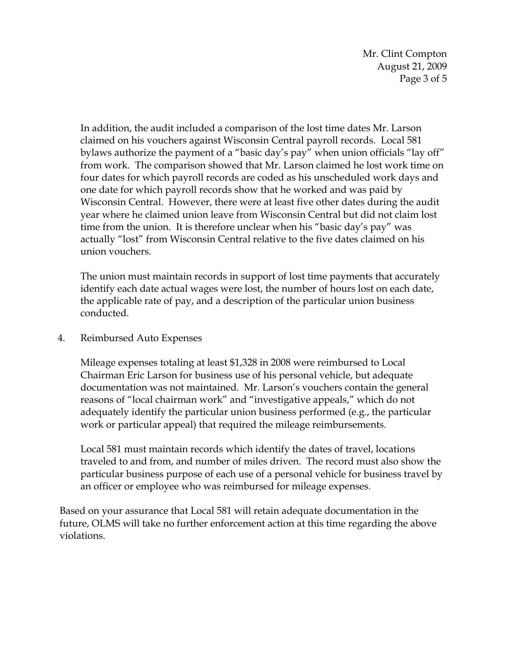Mr. Clint Compton August 21, 2009 Page 3 of 5

In addition, the audit included a comparison of the lost time dates Mr. Larson claimed on his vouchers against Wisconsin Central payroll records. Local 581 bylaws authorize the payment of a "basic day's pay" when union officials "lay off" from work. The comparison showed that Mr. Larson claimed he lost work time on four dates for which payroll records are coded as his unscheduled work days and one date for which payroll records show that he worked and was paid by Wisconsin Central. However, there were at least five other dates during the audit year where he claimed union leave from Wisconsin Central but did not claim lost time from the union. It is therefore unclear when his "basic day's pay" was actually "lost" from Wisconsin Central relative to the five dates claimed on his union vouchers.

The union must maintain records in support of lost time payments that accurately identify each date actual wages were lost, the number of hours lost on each date, the applicable rate of pay, and a description of the particular union business conducted.

4. Reimbursed Auto Expenses

Mileage expenses totaling at least \$1,328 in 2008 were reimbursed to Local Chairman Eric Larson for business use of his personal vehicle, but adequate documentation was not maintained. Mr. Larson's vouchers contain the general reasons of "local chairman work" and "investigative appeals," which do not adequately identify the particular union business performed (e.g., the particular work or particular appeal) that required the mileage reimbursements.

Local 581 must maintain records which identify the dates of travel, locations traveled to and from, and number of miles driven. The record must also show the particular business purpose of each use of a personal vehicle for business travel by an officer or employee who was reimbursed for mileage expenses.

Based on your assurance that Local 581 will retain adequate documentation in the future, OLMS will take no further enforcement action at this time regarding the above violations.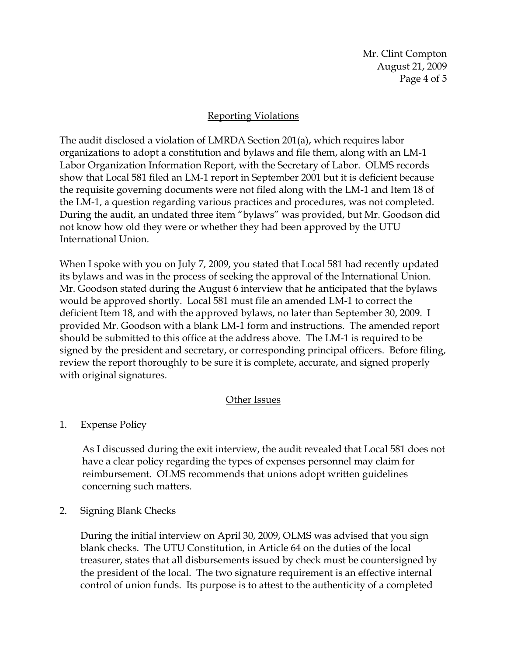Mr. Clint Compton August 21, 2009 Page 4 of 5

## Reporting Violations

The audit disclosed a violation of LMRDA Section 201(a), which requires labor organizations to adopt a constitution and bylaws and file them, along with an LM-1 Labor Organization Information Report, with the Secretary of Labor. OLMS records show that Local 581 filed an LM-1 report in September 2001 but it is deficient because the requisite governing documents were not filed along with the LM-1 and Item 18 of the LM-1, a question regarding various practices and procedures, was not completed. During the audit, an undated three item "bylaws" was provided, but Mr. Goodson did not know how old they were or whether they had been approved by the UTU International Union.

When I spoke with you on July 7, 2009, you stated that Local 581 had recently updated its bylaws and was in the process of seeking the approval of the International Union. Mr. Goodson stated during the August 6 interview that he anticipated that the bylaws would be approved shortly. Local 581 must file an amended LM-1 to correct the deficient Item 18, and with the approved bylaws, no later than September 30, 2009. I provided Mr. Goodson with a blank LM-1 form and instructions. The amended report should be submitted to this office at the address above. The LM-1 is required to be signed by the president and secretary, or corresponding principal officers. Before filing, review the report thoroughly to be sure it is complete, accurate, and signed properly with original signatures.

#### Other Issues

1. Expense Policy

As I discussed during the exit interview, the audit revealed that Local 581 does not have a clear policy regarding the types of expenses personnel may claim for reimbursement. OLMS recommends that unions adopt written guidelines concerning such matters.

2. Signing Blank Checks

During the initial interview on April 30, 2009, OLMS was advised that you sign blank checks. The UTU Constitution, in Article 64 on the duties of the local treasurer, states that all disbursements issued by check must be countersigned by the president of the local. The two signature requirement is an effective internal control of union funds. Its purpose is to attest to the authenticity of a completed